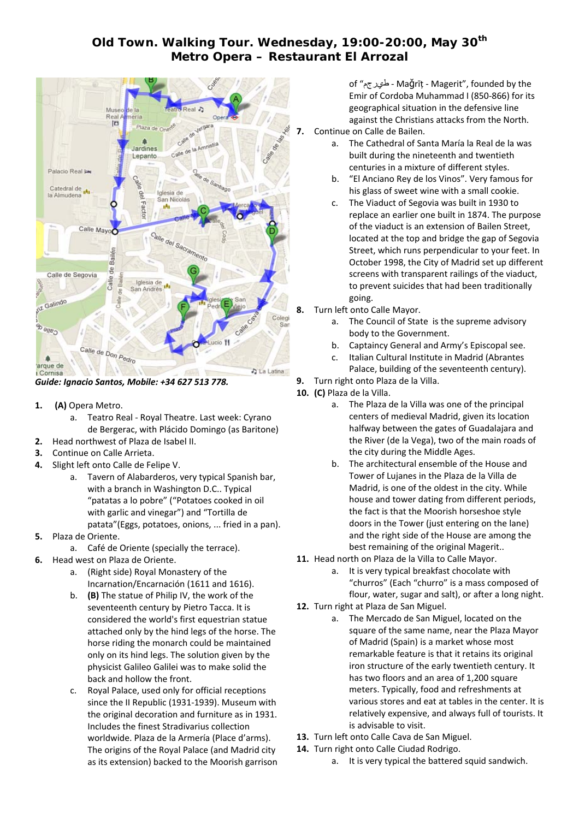## **Old Town. Walking Tour. Wednesday, 19:00-20:00, May 30th Metro Opera – Restaurant El Arrozal**



*Guide: Ignacio Santos, Mobile: +34 627 513 778.*

- **1. (A)** Opera Metro.
	- a. Teatro Real ‐ Royal Theatre. Last week: Cyrano de Bergerac, with Plácido Domingo (as Baritone)
- **2.** Head northwest of Plaza de Isabel II.
- **3.** Continue on Calle Arrieta.
- **4.** Slight left onto Calle de Felipe V.
	- a. Tavern of Alabarderos, very typical Spanish bar, with a branch in Washington D.C.. Typical "patatas a lo pobre" ("Potatoes cooked in oil with garlic and vinegar") and "Tortilla de patata"(Eggs, potatoes, onions, ... fried in a pan).
- **5.** Plaza de Oriente.
	- a. Café de Oriente (specially the terrace).
- **6.** Head west on Plaza de Oriente.
	- a. (Right side) Royal Monastery of the Incarnation/Encarnación (1611 and 1616).
	- b. **(B)** The statue of Philip IV, the work of the seventeenth century by Pietro Tacca. It is considered the world's first equestrian statue attached only by the hind legs of the horse. The horse riding the monarch could be maintained only on its hind legs. The solution given by the physicist Galileo Galilei was to make solid the back and hollow the front.
	- c. Royal Palace, used only for official receptions since the II Republic (1931‐1939). Museum with the original decoration and furniture as in 1931. Includes the finest Stradivarius collection worldwide. Plaza de la Armería (Place d'arms). The origins of the Royal Palace (and Madrid city as its extension) backed to the Moorish garrison

of "طيرجم ‐ Maǧrīț ‐ Magerit", founded by the Emir of Cordoba Muhammad I (850‐866) for its geographical situation in the defensive line against the Christians attacks from the North.

- **7.** Continue on Calle de Bailen.
	- a. The Cathedral of Santa María la Real de la was built during the nineteenth and twentieth centuries in a mixture of different styles.
	- b. "El Anciano Rey de los Vinos". Very famous for his glass of sweet wine with a small cookie.
	- c. The Viaduct of Segovia was built in 1930 to replace an earlier one built in 1874. The purpose of the viaduct is an extension of Bailen Street, located at the top and bridge the gap of Segovia Street, which runs perpendicular to your feet. In October 1998, the City of Madrid set up different screens with transparent railings of the viaduct, to prevent suicides that had been traditionally going.
- **8.** Turn left onto Calle Mayor.
	- a. The Council of State is the supreme advisory body to the Government.
	- b. Captaincy General and Army's Episcopal see.
	- c. Italian Cultural Institute in Madrid (Abrantes Palace, building of the seventeenth century).
- **9.** Turn right onto Plaza de la Villa.
- **10. (C)** Plaza de la Villa.
	- a. The Plaza de la Villa was one of the principal centers of medieval Madrid, given its location halfway between the gates of Guadalajara and the River (de la Vega), two of the main roads of the city during the Middle Ages.
	- b. The architectural ensemble of the House and Tower of Lujanes in the Plaza de la Villa de Madrid, is one of the oldest in the city. While house and tower dating from different periods, the fact is that the Moorish horseshoe style doors in the Tower (just entering on the lane) and the right side of the House are among the best remaining of the original Magerit..
- **11.** Head north on Plaza de la Villa to Calle Mayor.
	- a. It is very typical breakfast chocolate with "churros" (Each "churro" is a mass composed of flour, water, sugar and salt), or after a long night.
- **12.** Turn right at Plaza de San Miguel.
	- a. The Mercado de San Miguel, located on the square of the same name, near the Plaza Mayor of Madrid (Spain) is a market whose most remarkable feature is that it retains its original iron structure of the early twentieth century. It has two floors and an area of 1,200 square meters. Typically, food and refreshments at various stores and eat at tables in the center. It is relatively expensive, and always full of tourists. It is advisable to visit.
- **13.** Turn left onto Calle Cava de San Miguel.
- **14.** Turn right onto Calle Ciudad Rodrigo.
	- a. It is very typical the battered squid sandwich.